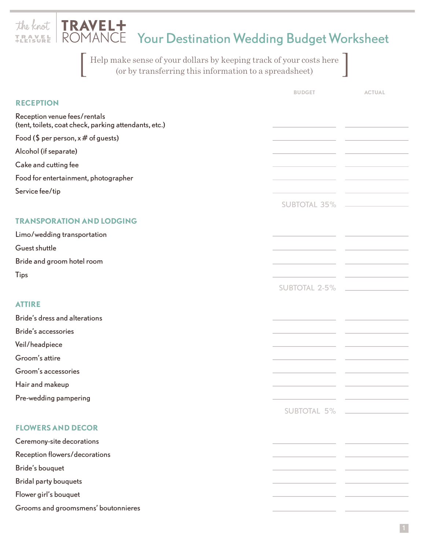| the knot   TRAVEL+<br>ROMANCE Your Destination Wedding Budget Worksheet<br><b>TRAVEL</b>                                      |                      |                                     |
|-------------------------------------------------------------------------------------------------------------------------------|----------------------|-------------------------------------|
| Help make sense of your dollars by keeping track of your costs here<br>(or by transferring this information to a spreadsheet) |                      |                                     |
|                                                                                                                               | <b>BUDGET</b>        | <b>ACTUAL</b>                       |
| <b>RECEPTION</b>                                                                                                              |                      |                                     |
| Reception venue fees/rentals<br>(tent, toilets, coat check, parking attendants, etc.)                                         |                      |                                     |
| Food (\$ per person, $x \#$ of guests)                                                                                        |                      |                                     |
| Alcohol (if separate)                                                                                                         |                      |                                     |
| Cake and cutting fee                                                                                                          |                      |                                     |
| Food for entertainment, photographer                                                                                          |                      |                                     |
| Service fee/tip                                                                                                               |                      |                                     |
|                                                                                                                               | <b>SUBTOTAL 35%</b>  |                                     |
| <b>TRANSPORATION AND LODGING</b>                                                                                              |                      |                                     |
| Limo/wedding transportation                                                                                                   |                      |                                     |
| Guest shuttle                                                                                                                 |                      |                                     |
| Bride and groom hotel room                                                                                                    |                      |                                     |
| <b>Tips</b>                                                                                                                   |                      |                                     |
|                                                                                                                               | <b>SUBTOTAL 2-5%</b> |                                     |
| <b>ATTIRE</b>                                                                                                                 |                      |                                     |
| Bride's dress and alterations                                                                                                 |                      |                                     |
| <b>Bride's accessories</b>                                                                                                    |                      |                                     |
| Veil/headpiece                                                                                                                |                      |                                     |
| Groom's attire                                                                                                                |                      |                                     |
| Groom's accessories                                                                                                           |                      |                                     |
| Hair and makeup                                                                                                               |                      |                                     |
| Pre-wedding pampering                                                                                                         |                      |                                     |
|                                                                                                                               | <b>SUBTOTAL 5%</b>   | <u> 1990 - Johann Barbara, mart</u> |
| <b>FLOWERS AND DECOR</b>                                                                                                      |                      |                                     |
| Ceremony-site decorations                                                                                                     |                      |                                     |
| Reception flowers/decorations                                                                                                 |                      |                                     |
| Bride's bouquet                                                                                                               |                      |                                     |
| <b>Bridal party bouquets</b>                                                                                                  |                      |                                     |
| Flower girl's bouquet                                                                                                         |                      |                                     |
| Grooms and groomsmens' boutonnieres                                                                                           |                      |                                     |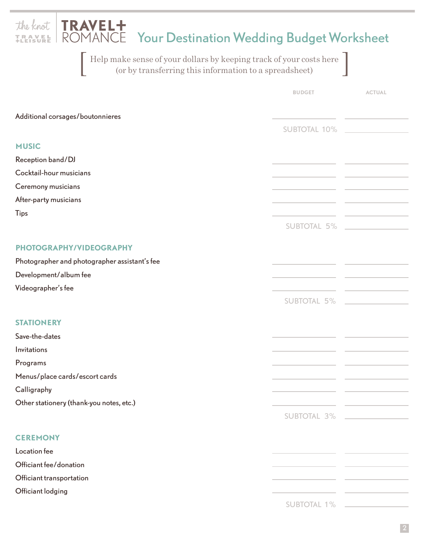| <b>TRAVEL+</b><br>the knot<br>ROMANCE Your Destination Wedding Budget Worksheet                                               |                     |                                                                            |  |  |
|-------------------------------------------------------------------------------------------------------------------------------|---------------------|----------------------------------------------------------------------------|--|--|
| Help make sense of your dollars by keeping track of your costs here<br>(or by transferring this information to a spreadsheet) |                     |                                                                            |  |  |
|                                                                                                                               | <b>BUDGET</b>       | <b>ACTUAL</b>                                                              |  |  |
| Additional corsages/boutonnieres                                                                                              |                     |                                                                            |  |  |
|                                                                                                                               | <b>SUBTOTAL 10%</b> |                                                                            |  |  |
| <b>MUSIC</b>                                                                                                                  |                     |                                                                            |  |  |
| Reception band/DJ                                                                                                             |                     |                                                                            |  |  |
| Cocktail-hour musicians                                                                                                       |                     |                                                                            |  |  |
| Ceremony musicians                                                                                                            |                     |                                                                            |  |  |
| After-party musicians                                                                                                         |                     |                                                                            |  |  |
| <b>Tips</b>                                                                                                                   |                     |                                                                            |  |  |
|                                                                                                                               | <b>SUBTOTAL 5%</b>  |                                                                            |  |  |
| PHOTOGRAPHY/VIDEOGRAPHY                                                                                                       |                     |                                                                            |  |  |
| Photographer and photographer assistant's fee                                                                                 |                     |                                                                            |  |  |
| Development/album fee                                                                                                         |                     |                                                                            |  |  |
| Videographer's fee                                                                                                            |                     |                                                                            |  |  |
|                                                                                                                               | <b>SUBTOTAL 5%</b>  |                                                                            |  |  |
| <b>STATIONERY</b>                                                                                                             |                     |                                                                            |  |  |
| Save-the-dates                                                                                                                |                     |                                                                            |  |  |
| Invitations                                                                                                                   |                     |                                                                            |  |  |
| Programs                                                                                                                      |                     |                                                                            |  |  |
| Menus/place cards/escort cards                                                                                                |                     |                                                                            |  |  |
| Calligraphy                                                                                                                   |                     |                                                                            |  |  |
| Other stationery (thank-you notes, etc.)                                                                                      |                     |                                                                            |  |  |
|                                                                                                                               |                     | SUBTOTAL 3%                                                                |  |  |
| <b>CEREMONY</b>                                                                                                               |                     |                                                                            |  |  |
| Location fee                                                                                                                  |                     |                                                                            |  |  |
| Officiant fee/donation                                                                                                        |                     |                                                                            |  |  |
| Officiant transportation                                                                                                      |                     |                                                                            |  |  |
| Officiant lodging                                                                                                             |                     |                                                                            |  |  |
|                                                                                                                               | <b>SUBTOTAL 1%</b>  | the control of the control of the control of the control of the control of |  |  |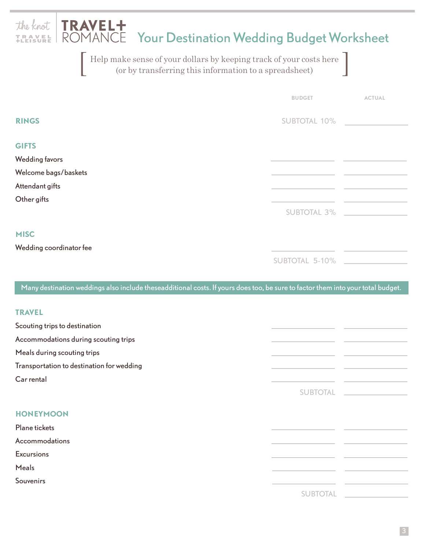| The knot TRAVEL+<br>IBANEL ROMANCE Your Destination Wedding Budget Worksheet                                                    |                     |                                       |  |  |
|---------------------------------------------------------------------------------------------------------------------------------|---------------------|---------------------------------------|--|--|
| Help make sense of your dollars by keeping track of your costs here<br>(or by transferring this information to a spreadsheet)   |                     |                                       |  |  |
|                                                                                                                                 | <b>BUDGET</b>       | <b>ACTUAL</b>                         |  |  |
| <b>RINGS</b>                                                                                                                    | <b>SUBTOTAL 10%</b> |                                       |  |  |
| <b>GIFTS</b><br><b>Wedding favors</b>                                                                                           |                     |                                       |  |  |
| Welcome bags/baskets                                                                                                            |                     |                                       |  |  |
| Attendant gifts<br>Other gifts                                                                                                  |                     |                                       |  |  |
|                                                                                                                                 | <b>SUBTOTAL 3%</b>  |                                       |  |  |
| <b>MISC</b><br>Wedding coordinator fee                                                                                          |                     |                                       |  |  |
|                                                                                                                                 | SUBTOTAL 5-10%      |                                       |  |  |
| Many destination weddings also include theseadditional costs. If yours does too, be sure to factor them into your total budget. |                     |                                       |  |  |
| <b>TRAVEL</b>                                                                                                                   |                     |                                       |  |  |
| Scouting trips to destination                                                                                                   |                     |                                       |  |  |
| Accommodations during scouting trips                                                                                            |                     |                                       |  |  |
| Meals during scouting trips                                                                                                     |                     |                                       |  |  |
| Transportation to destination for wedding                                                                                       |                     |                                       |  |  |
| Car rental                                                                                                                      |                     | and the control of the control of the |  |  |
|                                                                                                                                 | <b>SUBTOTAL</b>     | <u> 1990 - Jan Barbara (j. 1900)</u>  |  |  |
| <b>HONEYMOON</b>                                                                                                                |                     |                                       |  |  |
| Plane tickets                                                                                                                   |                     |                                       |  |  |
| Accommodations                                                                                                                  |                     |                                       |  |  |
| <b>Excursions</b>                                                                                                               |                     |                                       |  |  |
| <b>Meals</b>                                                                                                                    |                     |                                       |  |  |
| <b>Souvenirs</b>                                                                                                                |                     |                                       |  |  |
|                                                                                                                                 | <b>SUBTOTAL</b>     |                                       |  |  |